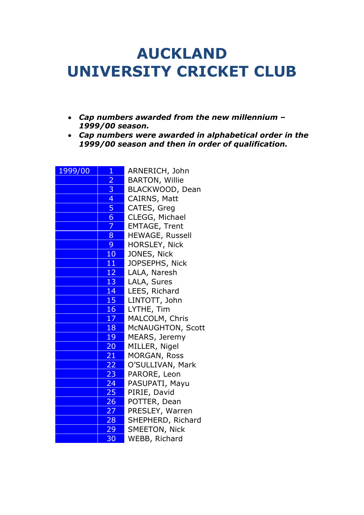## **AUCKLAND UNIVERSITY CRICKET CLUB**

- *Cap numbers awarded from the new millennium – 1999/00 season.*
- *Cap numbers were awarded in alphabetical order in the 1999/00 season and then in order of qualification.*

| 1999/00 | $\mathbf{1}$    | ARNERICH, John        |
|---------|-----------------|-----------------------|
|         | \$              | <b>BARTON, Willie</b> |
|         |                 | BLACKWOOD, Dean       |
|         | $\frac{3}{4}$   | CAIRNS, Matt          |
|         | 5               | CATES, Greg           |
|         | 6 <sup>1</sup>  | CLEGG, Michael        |
|         | 7               | <b>EMTAGE, Trent</b>  |
|         | 8               | HEWAGE, Russell       |
|         | 9               | <b>HORSLEY, Nick</b>  |
|         | 10 <sup>°</sup> | JONES, Nick           |
|         | 11              | JOPSEPHS, Nick        |
|         | 12              | LALA, Naresh          |
|         | 13              | LALA, Sures           |
|         | 14              | LEES, Richard         |
|         | 15              | LINTOTT, John         |
|         | 16              | LYTHE, Tim            |
|         | 17              | MALCOLM, Chris        |
|         | 18              | McNAUGHTON, Scott     |
|         | 19              | MEARS, Jeremy         |
|         | 20              | MILLER, Nigel         |
|         | $\overline{21}$ | MORGAN, Ross          |
|         | 22 <sub>1</sub> | O'SULLIVAN, Mark      |
|         | 23              | PARORE, Leon          |
|         | 24              | PASUPATI, Mayu        |
|         | 25              | PIRIE, David          |
|         | 26              | POTTER, Dean          |
|         | 27              | PRESLEY, Warren       |
|         | 28              | SHEPHERD, Richard     |
|         | $29 -$          | SMEETON, Nick         |
|         | 30              | WEBB, Richard         |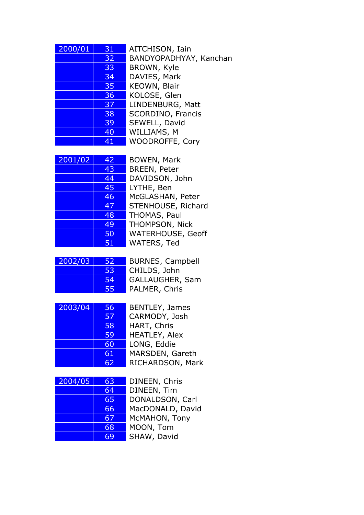| 2000/01 | 31 | AITCHISON, Iain          |
|---------|----|--------------------------|
|         | 32 | BANDYOPADHYAY, Kanchan   |
|         | 33 | BROWN, Kyle              |
|         | 34 | DAVIES, Mark             |
|         | 35 | KEOWN, Blair             |
|         | 36 | KOLOSE, Glen             |
|         | 37 | LINDENBURG, Matt         |
|         | 38 | <b>SCORDINO, Francis</b> |
|         | 39 | SEWELL, David            |
|         | 40 | WILLIAMS, M              |
|         | 41 | WOODROFFE, Cory          |
|         |    |                          |

| 2001/02 | 42 | <b>BOWEN, Mark</b>    |
|---------|----|-----------------------|
|         | 43 | <b>BREEN, Peter</b>   |
|         | 44 | DAVIDSON, John        |
|         | 45 | LYTHE, Ben            |
|         | 46 | McGLASHAN, Pet        |
|         | 47 | <b>STENHOUSE, Ric</b> |
|         | 48 | THOMAS, Paul          |
|         | 49 | THOMPSON, Nick        |
|         | 50 | <b>WATERHOUSE, G</b>  |
|         | 51 | WATERS, Ted           |

| 45 | LYTHE, Ben               |
|----|--------------------------|
| 46 | McGLASHAN, Peter         |
| 47 | STENHOUSE, Richard       |
| 48 | THOMAS, Paul             |
| 49 | THOMPSON, Nick           |
| 50 | <b>WATERHOUSE, Geoff</b> |
| 51 | WATERS, Ted              |
|    |                          |

| 2002/03 | 52  | <b>BURNES, Campbell</b> |
|---------|-----|-------------------------|
|         | 53  | CHILDS, John            |
|         | .54 | GALLAUGHER, Sam         |
|         | 55  | PALMER, Chris           |

| 2003/04 | 56 | BENTLEY, James       |
|---------|----|----------------------|
|         | 57 | CARMODY, Josh        |
|         | 58 | HART, Chris          |
|         | 59 | <b>HEATLEY, Alex</b> |
|         | 60 | LONG, Eddie          |
|         | 61 | MARSDEN, Gareth      |
|         | 62 | RICHARDSON, Mark     |

| 63 | DINEEN, Chris    |
|----|------------------|
| 64 | DINEEN, Tim      |
| 65 | DONALDSON, Carl  |
| 66 | MacDONALD, David |
| 67 | McMAHON, Tony    |
| 68 | MOON, Tom        |
| 69 | SHAW, David      |
|    |                  |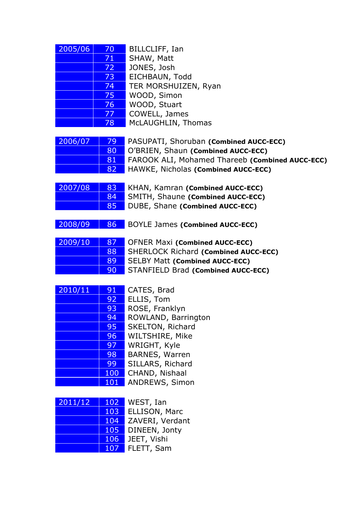| 2005/06 | 70 | BILLCLIFF, Ian       |
|---------|----|----------------------|
|         | 71 | SHAW, Matt           |
|         | 72 | JONES, Josh          |
|         | 73 | EICHBAUN, Todd       |
|         | 74 | TER MORSHUIZEN, Ryan |
|         | 75 | WOOD, Simon          |
|         | 76 | WOOD, Stuart         |
|         | 77 | COWELL, James        |
|         | 78 | McLAUGHLIN, Thomas   |

| 2006/07 | $\sqrt{79}$  | PASUPATI, Shoruban (Combined AUCC-ECC)                 |
|---------|--------------|--------------------------------------------------------|
|         | $80^{\circ}$ | O'BRIEN, Shaun (Combined AUCC-ECC)                     |
|         | 81           | <b>FAROOK ALI, Mohamed Thareeb (Combined AUCC-ECC)</b> |
|         | 82           | <b>HAWKE, Nicholas (Combined AUCC-ECC)</b>             |

| 2007/08 | 83        | KHAN, Kamran (Combined AUCC-ECC)  |
|---------|-----------|-----------------------------------|
|         | <b>84</b> | SMITH, Shaune (Combined AUCC-ECC) |
|         | 85        | DUBE, Shane (Combined AUCC-ECC)   |

## 2008/09 86 BOYLE James **(Combined AUCC-ECC)**

| 2009/10 | 87 | <b>OFNER Maxi (Combined AUCC-ECC)</b>       |
|---------|----|---------------------------------------------|
|         | 88 | <b>SHERLOCK Richard (Combined AUCC-ECC)</b> |
|         | 89 | <b>SELBY Matt (Combined AUCC-ECC)</b>       |
|         | 90 | STANFIELD Brad (Combined AUCC-ECC)          |

| 91  | CATES, Brad           |
|-----|-----------------------|
| 92  | ELLIS, Tom            |
| 93  | ROSE, Franklyn        |
| 94  | ROWLAND, Barrington   |
| 95  | SKELTON, Richard      |
| 96  | WILTSHIRE, Mike       |
| 97  | WRIGHT, Kyle          |
| 98  | <b>BARNES, Warren</b> |
| 99  | SILLARS, Richard      |
| 100 | CHAND, Nishaal        |
| 101 | ANDREWS, Simon        |
|     |                       |

| 2011/12 | 102 | WEST, Ian       |
|---------|-----|-----------------|
|         | 103 | ELLISON, Marc   |
|         | 104 | ZAVERI, Verdant |
|         | 105 | DINEEN, Jonty   |
|         | 106 | JEET, Vishi     |
|         | 107 | FLETT, Sam      |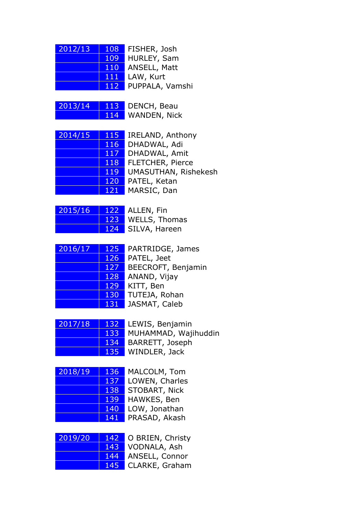| 2012/13 | 108 | FISHER, Josh    |
|---------|-----|-----------------|
|         | 109 | HURLEY, Sam     |
|         | 110 | ANSELL, Matt    |
|         | 111 | LAW, Kurt       |
|         | 112 | PUPPALA, Vamshi |

| 2013/14 |     | 113 DENCH, Beau |
|---------|-----|-----------------|
|         | THE | WANDEN, Nick    |

| 2014/15 | 115 | <b>IRELAND, Anthony</b> |
|---------|-----|-------------------------|
|         | 116 | DHADWAL, Adi            |
|         | 117 | DHADWAL, Amit           |
|         | 118 | <b>FLETCHER, Pierce</b> |
|         | 119 | UMASUTHAN, Rishekesh    |
|         | 120 | PATEL, Ketan            |
|         | 121 | MARSIC, Dan             |

2015/16 122 ALLEN, Fin

123 WELLS, Thomas 124 SILVA, Hareen

| 2016/17 | 125 |
|---------|-----|
|         | 126 |
|         | 127 |
|         | 128 |
|         | 129 |
|         | 130 |
|         | 131 |

PARTRIDGE, James PATEL, Jeet BEECROFT, Benjamin ANAND, Vijay KITT, Ben TUTEJA, Rohan JASMAT, Caleb

| 2017/18 | 132        | LEWIS, Benjamin      |
|---------|------------|----------------------|
|         | 133        | MUHAMMAD, Wajihuddin |
|         | <b>134</b> | BARRETT, Joseph      |
|         | <b>135</b> | WINDLER, Jack        |

| 2018/19 | 136 | MALCOLM, Tom   |
|---------|-----|----------------|
|         | 137 | LOWEN, Charles |
|         | 138 | STOBART, Nick  |
|         | 139 | HAWKES, Ben    |
|         | 140 | LOW, Jonathan  |
|         | 141 | PRASAD, Akash  |
|         |     |                |

| 2019/20 | 142        | O BRIEN, Christy |  |
|---------|------------|------------------|--|
|         | 143        | VODNALA, Ash     |  |
|         | 144        | ANSELL, Connor   |  |
|         | <b>145</b> | CLARKE, Graham   |  |